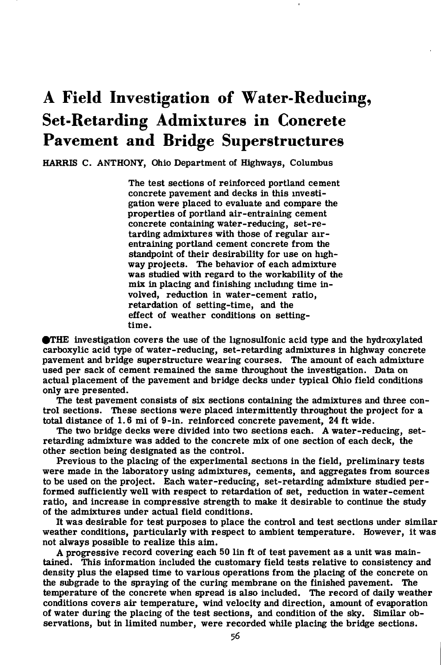# **A Field Investigation of Water-Reducing, Set-Retarding Admixtures in Concrete Pavement and Bridge Superstructures**

HARRIS C. ANTHONY, Ohio Department of Highways, Columbus

The test sections of reinforced portland cement concrete pavement and decks in this investigation were placed to evaluate and compare the properties of portland air-entraining cement concrete containing water-reducing, set-retarding admixtures with those of regular airentraining portland cement concrete from the standpoint of their desirability for use on highway projects. The behavior of each admixture was studied with regard to the workability of the mix in placing and finishing mcludmg time involved, reduction in water-cement ratio, retardation of setting-time, and the effect of weather conditions on settingtime.

**THE** investigation covers the use of the lignosulfonic acid type and the hydroxylated carboxylic acid type of water-reducing, set-retarding admixtures in highway concrete pavement and bridge superstructure wearing courses. The amount of each admixture used per sack of cement remained the same throughout the investigation. Data on actual placement of the pavement and bridge decks imder typical Ohio field conditions only are presented.

The test pavement consists of six sections containing the admixtures and three control sections. These sections were placed intermittently throughout the project for a total distance of 1.6 mi of 9-in. reinforced concrete pavement, 24 ft wide.

The two bridge decks were divided into two sections each. A water-reducing, setretarding admixture was added to the concrete mix of one section of each deck, the other section being designated as the control.

Previous to the placing of the experimental sections in the field, preliminary tests were made in the laboratory using admixtures, cements, and aggregates from sources to be used on the project. Each water-reducing, set-retarding admixture studied performed sufficiently well with respect to retardation of set, reduction in water-cement ratio, and increase in compressive strength to make it desirable to continue the study of the admixtures under actual field conditions.

It was desirable for test purposes to place the control and test sections under similar weather conditions, particularly with respect to ambient temperature. However, it was not always possible to realize this aim.

A progressive record covering each 50 lin ft of test pavement as a unit was maintained. This information included the customary field tests relative to consistency and density plus the elapsed time to various operations from the placing of the concrete on the subgrade to the spraying of the curing membrane on the finished pavement. The temperature of the concrete when spread is also included. The record of daily weather conditions covers air temperature, wind velocity and direction, amount of evaporation of water during the placing of the test sections, and condition of the sky. Similar observations, but in limited number, were recorded while placing the bridge sections.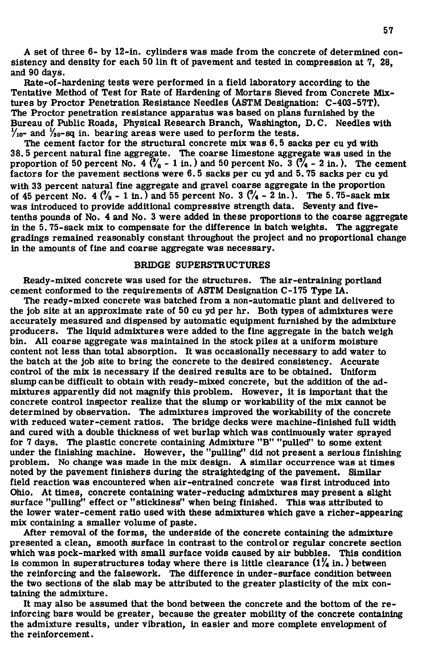A set of three 6- by 12-in. cylinders was made from the concrete of determined consistency and density for each 50 lin ft of pavement and tested in compression at 7, 28, and 90 days.

Rate-of-hardening tests were performed in a field laboratory according to the Tentative Method of Test for Rate of Hardening of Mortars Sieved from Concrete Mixtures by Proctor Penetration Resistance Needles (ASTM Designation: C-403-57T). The Proctor penetration resistance apparatus was based on plans furnished by the Bureau of Public Roads, Physical Research Branch, Washington, D.C. Needles with  $V_{10}$ - and  $V_{30}$ -sq in. bearing areas were used to perform the tests.<br>The cement factor for the structural concrete mix was 6.5 sacks per cu vd with

The cement factor for the structural concrete mix was 6.5 sacks per cu yd with<br>5 november 10 tunel fine aggregate. The congress limeators aggregate was used in t 38.5 percent natural fine aggregate. The coarse limestone aggregate was used in the semiproportion of 50 percent No. 4  $\binom{3}{6}$  - 1 in.) and 50 percent No. 3  $\binom{3}{4}$  - 2 in.). The cement factors for the pavement sections were 6.5 sacks per cu yd and 5.75 sacks per cu yd with 33 percent natural fine aggregate and gravel coarse aggregate in the proportion of 45 percent No. 4  $\binom{9}{4}$  - 1 in.) and 55 percent No. 3  $\binom{9}{4}$  - 2 in.). The 5.75-sack mix was introduced to provide additional compressive strength data. Seventy and fivetenths pounds of No. 4 and No. 3 were added in these proportions to the coarse aggregate in the 5. 75-sack mix to compensate for the difference in batch weights. The aggregate gradings remained reasonably constant throughout the project and no proportional change in the amounts of fine and coarse aggregate was necessary.

## BRIDGE SUPERSTRUCTURES

Ready-mixed concrete was used for the structures. The air-entraining portland cement conformed to the requirements of ASTM Designation C-175 Type lA.

The ready-mixed concrete was batched from a non-automatic plant and delivered to the job site at an approximate rate of 50 cu yd per hr. Both types of admixtures were accurately measured and dispensed by automatic equipment furnished by the admixture producers. The liquid admixtures were added to the fine aggregate in the batch weigh bin. All coarse aggregate was maintained in the stock piles at a uniform moisture content not less than total absorption. It was occasionally necessary to add water to the batch at the job site to bring the concrete to the desired consistency. Accurate control of the mix is necessary if the desired results are to be obtained. Uniform slump canbe difficult to obtain with ready-mixed concrete, but the addition of the admixtures apparently did not magnify this problem. However, it is important that the concrete control inspector realize that the slump or workability of the mix cannot be determined by observation. The admixtures improved the workability of the concrete with reduced water-cement ratios. The bridge decks were machine-finished full width and cured with a double thickness of wet burlap which was continuously water sprayed for 7 days. The plastic concrete containing Admixture "B" "pulled" to some extent under the finishing machine. However, the "pulling" did not present a serious finishing problem. No change was made in the mix design. A similar occurrence was at times noted by the pavement finishers during the straightedging of the pavement. Similar field reaction was encountered when air-entrained concrete was first introduced into Ohio. At times, concrete containing water-reducing admixtures may present a slight surface "pulling" effect or "stickiness" when being finished. This was attributed to the lower water-cement ratio used with these admixtures which gave a richer-appearing mix containing a smaller volume of paste.

After removal of the forms, the underside of the concrete containing the admixture presented a clean, smooth surface in contrast to the control or regular concrete section which was pock-marked with small surface voids caused by air bubbles. This condition is common in superstructures today where there is little clearance  $(1^1/4$  in.) between the reinforcing and the falsework. The difference in under-surface condition between the two sections of the slab may be attributed to the greater plasticity of the mix containing the admixture.

It may also be assumed that the bond between the concrete and the bottom of the reinforcing bars would be greater, because the greater mobility of the concrete containing the admixture results, under vibration, in easier and more complete envelopment of the reinforcement.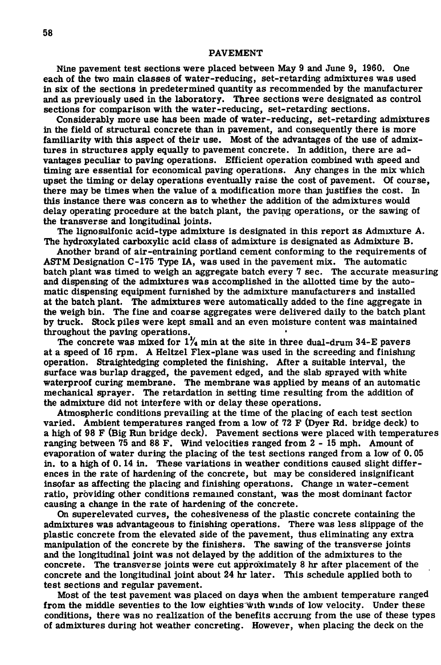#### PAVEMENT

Nine pavement test sections were placed between May 9 and June 9, 1960. One each of the two main classes of water-reducing, set-retarding admixtures was used in six of the sections in predetermined quantity as recommended by the manufacturer and as previously used in the laboratory. Three sections were designated as control sections for comparison with the water-reducing, set-retarding sections.

Considerably more use has been made of water-reducing, set-retarding admixtures in the field of structural concrete than in pavement, and consequently there is more familiarity with this aspect of their use. Most of the advantages of the use of admixtures in structures apply equally to pavement concrete. In addition, there are advantages peculiar to paving operations. Efficient operation combined with speed and timing are essential for economical paving operations. Any changes in the mix which upset the timing or delay operations eventually raise the cost of pavement. Of course, there may be times when the value of a modification more than justifies the cost. In this instance there was concern as to whether the addition of the admixtures would delay operating procedure at the batch plant, the paving operations, or the sawing of the transverse and longitudinal joints.

The lignosulfonic acid-type admixture is designated in this report as Admixture A. The hydroxylated carboxylic acid class of admixture is designated as Admixture B.

Another brand of air-entraining portland cement conforming to the requirements of ASTM Designation C-175 Type lA, was used in the pavement mix. The automatic batch plant was timed to weigh an aggregate batch every 7 sec. The accurate measuring and dispensing of the admixtures was accomplished in the allotted time by the automatic dispensing equipment furnished by the admixture manufacturers and installed at the batch plant. The admixtures were automatically added to the fine aggregate in the weigh bin. The fine and coarse aggregates were delivered daily to the batch plant by truck. Stock piles were kept small and an even moisture content was maintained throughout the paving operations.

The concrete was mixed for  $1/4$  min at the site in three dual-drum 34-E pavers at a speed of 16 rpm. A Heltzel Flex-plane was used in the screeding and finishmg operation. Straightedging completed the finishing. After a suitable interval, the surface was burlap dragged, the pavement edged, and the slab sprayed with white waterproof curing membrane. The membrane was applied by means of an automatic mechanical sprayer. The retardation in setting time resulting from the addition of the admixture did not interfere with or delay these operations.

Atmospheric conditions prevailing at the time of the placing of each test section varied. Ambient temperatures ranged from a low of 72 F (Dyer Rd. bridge deck) to a high of 98 F (Big Run bridge deck). Pavement sections were placed with temperatures ranging between 75 and 88 F. Wind velocities ranged from 2-15 mph. Amount of evaporation of water during the placing of the test sections ranged from a low of 0.05 in. to a high of 0.14 in. These variations in weather conditions caused slight differences in the rate of hardening of the concrete, but may be considered insignificant insofar as affecting the placing and finishing operations. Change m water-cement ratio, providing other conditions remamed constant, was the most dominant factor causing a change in the rate of hardening of the concrete.

On superelevated curves, the cohesiveness of the plastic concrete containing the admixtures was advantageous to finishing operations. There was less slippage of the plastic concrete from the elevated side of the pavement, thus eliminating any extra manipulation of the concrete by the finishers. The sawing of the transverse joints and the longitudinal joint was not delayed by the addition of the admixtures to the concrete. The transverse joints were cut approximately 8 hr after placement of the concrete and the longitudinal joint about 24 hr later. This schedule applied both to test sections and regular pavement.

Most of the test pavement was placed on days when the ambient temperature ranged from the middle seventies to the low eighties'with wmds of low velocity. Under these conditions, there was no realization of the benefits accruing from the use of these types of admixtures during hot weather concreting. However, when placing the deck on the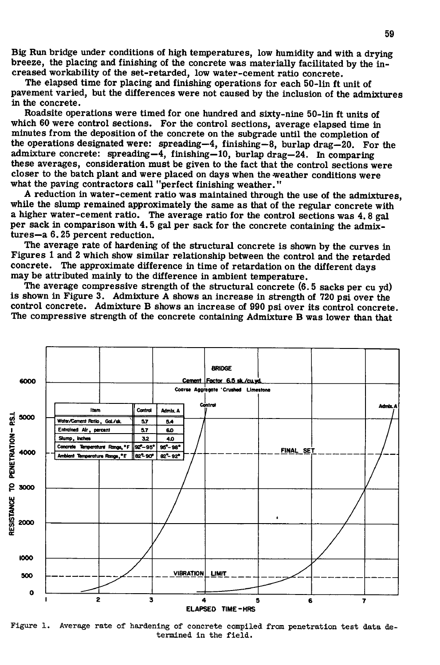Big Run bridge under conditions of high temperatures, low humidity and with a drying breeze, the placing and finishing of the concrete was materially facilitated by the in-<br>creased workability of the set-retarded, low water-cement ratio concrete.

The elapsed time for placing and finishing operations for each 50-lin ft unit of The elapsed time for placing and finishing operations for each 50-lin ft unit of<br>ement varied, but the differences were not caused by the inclusion of the admi pavement varied, but the differences were not caused by the inclusion of the admixtures<br>in the concrete. in the concrete.<br>Roadsite operations were timed for one hundred and sixty-nine 50-lin ft units of

which 60 were control sections. For the control sections, average elapsed time in minutes from the deposition of the concrete on the subgrade until the completion of the operations designated were: spreading  $-4$ , finishing  $-8$ , burlap drag $-20$ . For the admixture concrete: spreading—4, finishing—10, burlap drag—24. In comparing these averages, consideration must be given to the fact that the control sections were closer to the batch plant and were placed on days when the weather conditions were what the paving contractors call "perfect finishing weather."

A reduction in water-cement ratio was maintained through the use of the admixtures, while the slump remained approximately the same as that of the regular concrete with a higher water-cement ratio. The average ratio for the control sections was 4.8 gal a inglier water-cement ratio. The average ratio for the control sections was 4.8 gal<br>per sack in comparison with 4.5 gal per sack for the concrete containing the admixper sack in comparison with 4.5 gal per sack for the concrete containing the admix-<br>tures—a 6.25 percent reduction tures—a 6.25 percent reduction.<br>The average rate of hardening of the structural concrete is shown by the curves in

Figures 1 and 2 which show similar relationship between the control and the retarded rigures 1 and 2 which show similar relationship between the control and the retarded<br>concrete ... The approximate difference in time of retardation on the different days. concrete. The approximate difference in time of retardation on the different days<br>may be attributed mainly to the difference in ambient temperature. may be attributed mainly to the difference in ambient temperature.

The average compressive strength of the structural concrete (6.5 sacks per cu yd) is shown in Figure 3. Admixture A shows an increase in strength of 720 psi over the is shown in Figure 3. Admixture A shows an increase in strength of 720 psi over the control concrete. Admixture B shows an increase of 990 psi over its control concrete. The compressive strength of the concrete containing Admixture B was lower than that



Figure 1. Average rate of hardening of concrete compiled from penetration test data de**termined i n the field .**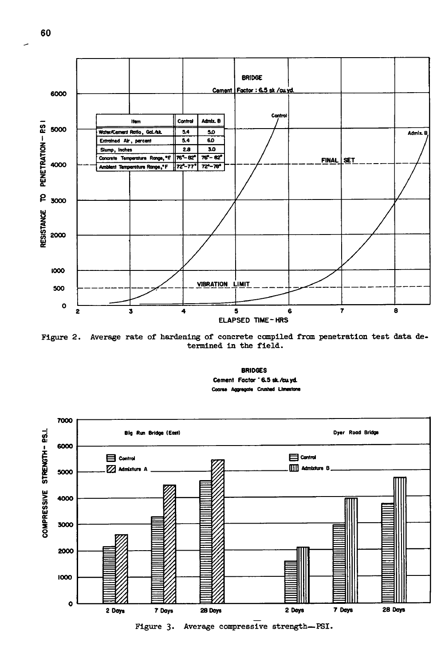

Figure 2. Average rate of hardening of concrete compiled from penetration test data determined in the field.

**BRIDGES** Cement Factor ' 6.5 sk/cu yd. Coarse Aggregate Crushed Limestone





60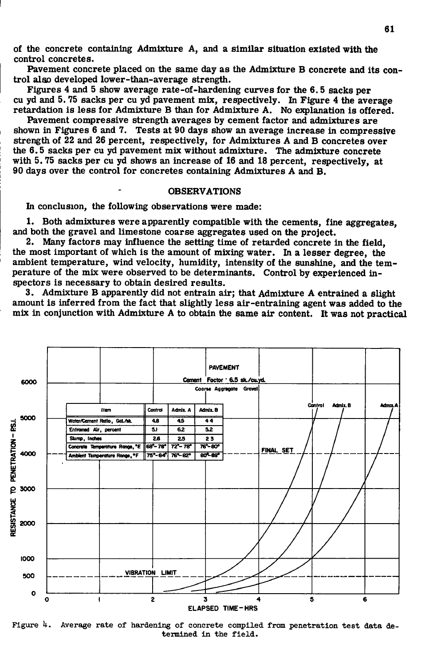of the concrete containing Admixture A, and a similar situation existed with the control concretes.

Pavement concrete placed on the same day as the Admixture B concrete and its control also developed lower-than-average strength.

Figures 4 and 5 show average rate-of-hardening curves for the 6.5 sacks per cu vd and 5.75 sacks per cu yd pavement mix, respectively. In Figure 4 the average retardation is less for Admixture B than for Admixture A. No explanation is offered.

Pavement compressive strength averages by cement factor and admixtures are shown in Figures  $6$  and  $7$ . Tests at 90 days show an average increase in compressive strength of 22 and 26 percent, respectively, for Admixtures A and B concretes over the 6.5 sacks per cu yd pavement mix without admixture. The admixture concrete with 5.75 sacks per cu yd shows an increase of 16 and 18 percent, respectively, at 90 days over the control for concretes containing Admixtures A and B.

## **OBSERVATIONS**

In conclusion, the following observations were made:

1. Both admixtures were apparently compatible with the cements, fine aggregates, and both the gravel and limestone coarse aggregates used on the project.

2. Many factors may influence the setting time of retarded concrete in the field. the most important of which is the amount of mixing water. In a lesser degree, the ambient temperature, wind velocity, humidity, intensity of the sunshine, and the temperature of the mix were observed to be determinants. Control by experienced inspectors is necessary to obtain desired results.

3. Admixture B apparently did not entrain air; that Admixture A entrained a slight amount is inferred from the fact that slightly less air-entraining agent was added to the mix in conjunction with Admixture A to obtain the same air content. It was not practical



Figure 4. Average rate of hardening of concrete compiled from penetration test data determined in the field.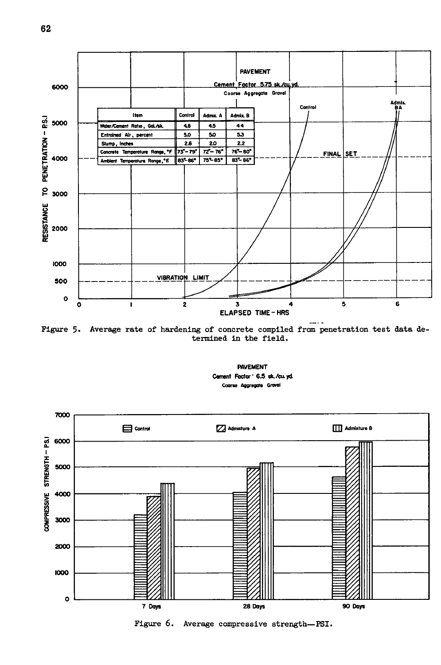

Figure 5. Average rate of hardening of concrete compiled from penetration test data determined in the field.





Figure 6. Average compressive strength-PSI.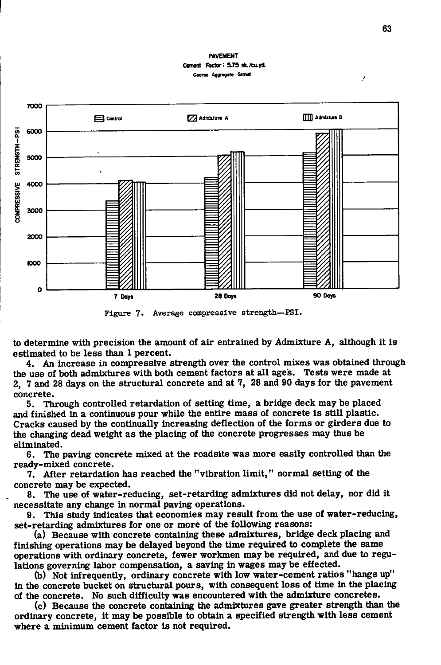#### PAVEMENT Cement Factor: 5.75 sk./cu.vd. **Coarse Aggregate Grovel**



**Figure 7. Average compressive strength—PSI.** 

to determine with precision the amount of air entrained by Admixture A, although it is estimated to be less than 1 percent.

4. An increase in compressive strength over the control mixes was obtained through the use of both admixtures with both cement factors at all ages. Tests were made at 2, 7 and 28 days on the structural concrete and at 7, 28 and 90 days for the pavement concrete.

5. Through controlled retardation of setting time, a bridge deck may be placed and finished in a continuous pour while the entire mass of concrete is still plastic. Cracks caused by the continually increasing deflection of the forms or girders due to the changing dead weight as the placing of the concrete progresses may thus be eliminated.

6. The paving concrete mixed at the roadsite was more easily controlled than the ready-mixed concrete.

7. After retardation has reached the "vibration limit," normal setting of the concrete may be expected.

8. The use of water-reducing, set-retarding admixtures did not delay, nor did it necessitate any change in normal paving operations.

9. This study indicates that economies may result from the use of water-reducing, set-retarding admixtures for one or more of the following reasons:

(a) Because with concrete containing these admixtures, bridge deck placing and finishing operations may be delayed beyond the time required to complete the same operations with ordinary concrete, fewer workmen may be required, and due to regulations governing labor compensation, a saving in wages may be effected.

(b) Not infrequently, ordinary concrete with low water-cement ratios "hangs up" in the concrete bucket on structural pours, with consequent loss of time in the placing of the concrete. No such difficulty was encountered with the admixture concretes.

(c) Because the concrete containing the admixtures gave greater strength than the ordinary concrete, it may be possible to obtain a specified strength with less cement where a minimum cement factor is not required.

 $\overline{\phantom{a}}$